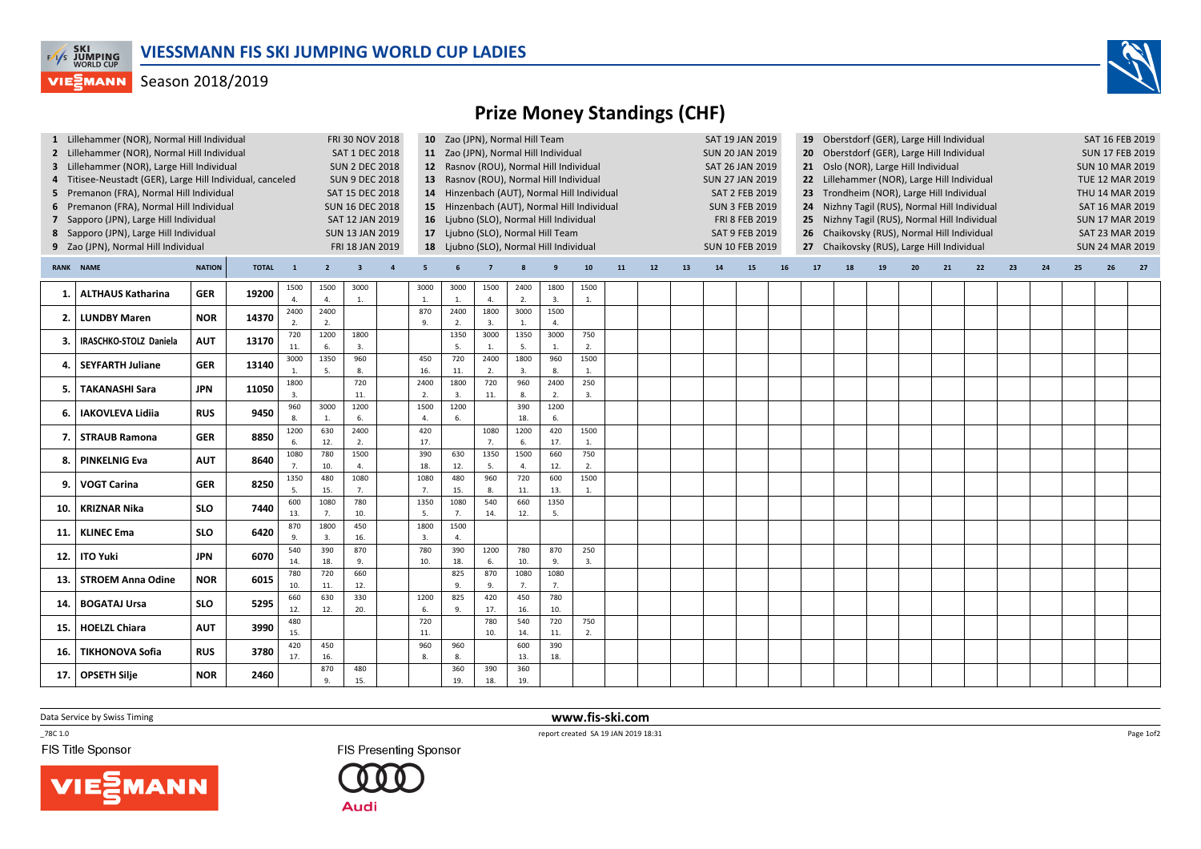

## **VIEGMANN** Season 2018/2019

## Prize Money Standings (CHF)

| 1 Lillehammer (NOR), Normal Hill Individual<br>2 Lillehammer (NOR), Normal Hill Individual<br>3 Lillehammer (NOR), Large Hill Individual<br>4 Titisee-Neustadt (GER), Large Hill Individual, canceled<br>5 Premanon (FRA), Normal Hill Individual<br>6 Premanon (FRA), Normal Hill Individual<br>7 Sapporo (JPN), Large Hill Individual<br>8 Sapporo (JPN), Large Hill Individual<br>9 Zao (JPN), Normal Hill Individual |                               |               |              |                        | FRI 30 NOV 2018<br><b>SAT 1 DEC 2018</b><br><b>SUN 2 DEC 2018</b><br><b>SUN 9 DEC 2018</b><br>SAT 15 DEC 2018<br><b>SUN 16 DEC 2018</b><br>SAT 12 JAN 2019<br><b>SUN 13 JAN 2019</b><br>FRI 18 JAN 2019 |            |                | 10 Zao (JPN), Normal Hill Team<br>11 Zao (JPN), Normal Hill Individual<br>12 Rasnov (ROU), Normal Hill Individual<br>13 Rasnov (ROU), Normal Hill Individual<br>14 Hinzenbach (AUT), Normal Hill Individual<br>15 Hinzenbach (AUT), Normal Hill Individual<br>16 Ljubno (SLO), Normal Hill Individual<br>17 Ljubno (SLO), Normal Hill Team<br>18 Ljubno (SLO), Normal Hill Individual |                        |            |            |                      |                      |    |    | <b>SUN 20 JAN 2019</b><br><b>SUN 27 JAN 2019</b><br><b>SUN 10 FEB 2019</b> | SAT 19 JAN 2019<br><b>SAT 26 JAN 2019</b><br><b>SAT 2 FEB 2019</b><br><b>SUN 3 FEB 2019</b><br>FRI 8 FEB 2019<br>SAT 9 FEB 2019 |    | 19 Oberstdorf (GER), Large Hill Individual<br>Oberstdorf (GER), Large Hill Individual<br>21 Oslo (NOR), Large Hill Individual<br>22 Lillehammer (NOR), Large Hill Individual<br>Trondheim (NOR), Large Hill Individual<br>23<br>24 Nizhny Tagil (RUS), Normal Hill Individual<br>Nizhny Tagil (RUS), Normal Hill Individual<br>25 <sub>2</sub><br>Chaikovsky (RUS), Normal Hill Individual<br>26<br>27 Chaikovsky (RUS), Large Hill Individual |    |    |    |    |    |    |    |    | SAT 16 FEB 2019<br><b>SUN 17 FEB 2019</b><br><b>SUN 10 MAR 2019</b><br><b>TUE 12 MAR 2019</b><br>THU 14 MAR 2019<br>SAT 16 MAR 2019<br><b>SUN 17 MAR 2019</b><br>SAT 23 MAR 2019<br><b>SUN 24 MAR 2019</b> |    |    |  |
|--------------------------------------------------------------------------------------------------------------------------------------------------------------------------------------------------------------------------------------------------------------------------------------------------------------------------------------------------------------------------------------------------------------------------|-------------------------------|---------------|--------------|------------------------|---------------------------------------------------------------------------------------------------------------------------------------------------------------------------------------------------------|------------|----------------|---------------------------------------------------------------------------------------------------------------------------------------------------------------------------------------------------------------------------------------------------------------------------------------------------------------------------------------------------------------------------------------|------------------------|------------|------------|----------------------|----------------------|----|----|----------------------------------------------------------------------------|---------------------------------------------------------------------------------------------------------------------------------|----|------------------------------------------------------------------------------------------------------------------------------------------------------------------------------------------------------------------------------------------------------------------------------------------------------------------------------------------------------------------------------------------------------------------------------------------------|----|----|----|----|----|----|----|----|------------------------------------------------------------------------------------------------------------------------------------------------------------------------------------------------------------|----|----|--|
|                                                                                                                                                                                                                                                                                                                                                                                                                          | <b>RANK NAME</b>              | <b>NATION</b> | <b>TOTAL</b> | $\overline{1}$         | $\overline{2}$                                                                                                                                                                                          |            | $\overline{a}$ | -5                                                                                                                                                                                                                                                                                                                                                                                    |                        |            |            |                      | 10                   | 11 | 12 | 13                                                                         | 14                                                                                                                              | 15 | 16                                                                                                                                                                                                                                                                                                                                                                                                                                             | 17 | 18 | 19 | 20 | 21 | 22 | 23 | 24 | 25                                                                                                                                                                                                         | 26 | 27 |  |
| -1.                                                                                                                                                                                                                                                                                                                                                                                                                      | <b>ALTHAUS Katharina</b>      | <b>GER</b>    | 19200        | 1500<br>$\overline{4}$ | 1500<br>4.                                                                                                                                                                                              | 3000<br>1. |                | 3000<br>1.                                                                                                                                                                                                                                                                                                                                                                            | 3000<br>$\mathbf{1}$ . | 1500<br>4. | 2400<br>2. | 1800<br>3.           | 1500<br>1.           |    |    |                                                                            |                                                                                                                                 |    |                                                                                                                                                                                                                                                                                                                                                                                                                                                |    |    |    |    |    |    |    |    |                                                                                                                                                                                                            |    |    |  |
| 2.                                                                                                                                                                                                                                                                                                                                                                                                                       | <b>LUNDBY Maren</b>           | <b>NOR</b>    | 14370        | 2400<br>2.             | 2400<br>2.                                                                                                                                                                                              |            |                | 870<br>9                                                                                                                                                                                                                                                                                                                                                                              | 2400<br>2.             | 1800<br>3. | 3000<br>1. | 1500<br>4.           |                      |    |    |                                                                            |                                                                                                                                 |    |                                                                                                                                                                                                                                                                                                                                                                                                                                                |    |    |    |    |    |    |    |    |                                                                                                                                                                                                            |    |    |  |
| 3                                                                                                                                                                                                                                                                                                                                                                                                                        | <b>IRASCHKO-STOLZ Daniela</b> | <b>AUT</b>    | 13170        | 720<br>11.             | 1200<br>6.                                                                                                                                                                                              | 1800<br>3. |                |                                                                                                                                                                                                                                                                                                                                                                                       | 1350<br>$\overline{5}$ | 3000       | 1350<br>5. | 3000<br>$\mathbf{1}$ | 750<br>2.            |    |    |                                                                            |                                                                                                                                 |    |                                                                                                                                                                                                                                                                                                                                                                                                                                                |    |    |    |    |    |    |    |    |                                                                                                                                                                                                            |    |    |  |
| 4                                                                                                                                                                                                                                                                                                                                                                                                                        | <b>SEYFARTH Juliane</b>       | <b>GER</b>    | 13140        | 3000                   | 1350<br>5.                                                                                                                                                                                              | 960<br>8.  |                | 450<br>16.                                                                                                                                                                                                                                                                                                                                                                            | 720<br>11.             | 2400<br>2. | 1800<br>3. | 960<br>8.            | 1500<br>1.           |    |    |                                                                            |                                                                                                                                 |    |                                                                                                                                                                                                                                                                                                                                                                                                                                                |    |    |    |    |    |    |    |    |                                                                                                                                                                                                            |    |    |  |
| 5.                                                                                                                                                                                                                                                                                                                                                                                                                       | <b>TAKANASHI Sara</b>         | JPN           | 11050        | 1800<br>3.             |                                                                                                                                                                                                         | 720<br>11. |                | 2400<br>$\overline{2}$                                                                                                                                                                                                                                                                                                                                                                | 1800<br>3.             | 720<br>11. | 960<br>8.  | 2400<br>2.           | 250<br>3.            |    |    |                                                                            |                                                                                                                                 |    |                                                                                                                                                                                                                                                                                                                                                                                                                                                |    |    |    |    |    |    |    |    |                                                                                                                                                                                                            |    |    |  |
| 6                                                                                                                                                                                                                                                                                                                                                                                                                        | <b>IAKOVLEVA Lidiia</b>       | <b>RUS</b>    | 9450         | 960<br>8.              | 3000<br>1.                                                                                                                                                                                              | 1200<br>6. |                | 1500<br>$\overline{4}$                                                                                                                                                                                                                                                                                                                                                                | 1200<br>6.             |            | 390<br>18. | 1200<br>6.           |                      |    |    |                                                                            |                                                                                                                                 |    |                                                                                                                                                                                                                                                                                                                                                                                                                                                |    |    |    |    |    |    |    |    |                                                                                                                                                                                                            |    |    |  |
| 7                                                                                                                                                                                                                                                                                                                                                                                                                        | <b>STRAUB Ramona</b>          | <b>GER</b>    | 8850         | 1200<br>6.             | 630<br>12.                                                                                                                                                                                              | 2400<br>2. |                | 420<br>17.                                                                                                                                                                                                                                                                                                                                                                            |                        | 1080<br>7. | 1200<br>6. | 420<br>17.           | 1500<br>1.           |    |    |                                                                            |                                                                                                                                 |    |                                                                                                                                                                                                                                                                                                                                                                                                                                                |    |    |    |    |    |    |    |    |                                                                                                                                                                                                            |    |    |  |
| 8                                                                                                                                                                                                                                                                                                                                                                                                                        | <b>PINKELNIG Eva</b>          | <b>AUT</b>    | 8640         | 1080<br>7.             | 780<br>10.                                                                                                                                                                                              | 1500<br>4. |                | 390<br>18.                                                                                                                                                                                                                                                                                                                                                                            | 630<br>12.             | 1350<br>5. | 1500<br>4. | 660<br>12.           | 750<br>2.            |    |    |                                                                            |                                                                                                                                 |    |                                                                                                                                                                                                                                                                                                                                                                                                                                                |    |    |    |    |    |    |    |    |                                                                                                                                                                                                            |    |    |  |
| 9                                                                                                                                                                                                                                                                                                                                                                                                                        | <b>VOGT Carina</b>            | <b>GER</b>    | 8250         | 1350<br>-5.            | 480<br>15.                                                                                                                                                                                              | 1080<br>7. |                | 1080<br>7.                                                                                                                                                                                                                                                                                                                                                                            | 480<br>15.             | 960<br>8.  | 720<br>11. | 600<br>13.           | 1500<br>$\mathbf{1}$ |    |    |                                                                            |                                                                                                                                 |    |                                                                                                                                                                                                                                                                                                                                                                                                                                                |    |    |    |    |    |    |    |    |                                                                                                                                                                                                            |    |    |  |
| 10.                                                                                                                                                                                                                                                                                                                                                                                                                      | <b>KRIZNAR Nika</b>           | <b>SLO</b>    | 7440         | 600<br>13.             | 1080<br>7.                                                                                                                                                                                              | 780<br>10. |                | 1350<br>5.                                                                                                                                                                                                                                                                                                                                                                            | 1080<br>7.             | 540<br>14. | 660<br>12. | 1350<br>-5.          |                      |    |    |                                                                            |                                                                                                                                 |    |                                                                                                                                                                                                                                                                                                                                                                                                                                                |    |    |    |    |    |    |    |    |                                                                                                                                                                                                            |    |    |  |
| 11.                                                                                                                                                                                                                                                                                                                                                                                                                      | <b>KLINEC Ema</b>             | <b>SLO</b>    | 6420         | 870<br>9.              | 1800<br>3.                                                                                                                                                                                              | 450<br>16. |                | 1800<br>$\overline{3}$                                                                                                                                                                                                                                                                                                                                                                | 1500<br>$\mathbf{4}$   |            |            |                      |                      |    |    |                                                                            |                                                                                                                                 |    |                                                                                                                                                                                                                                                                                                                                                                                                                                                |    |    |    |    |    |    |    |    |                                                                                                                                                                                                            |    |    |  |
| 12.                                                                                                                                                                                                                                                                                                                                                                                                                      | <b>ITO Yuki</b>               | <b>JPN</b>    | 6070         | 540<br>14.             | 390<br>18.                                                                                                                                                                                              | 870<br>9.  |                | 780<br>10.                                                                                                                                                                                                                                                                                                                                                                            | 390<br>18.             | 1200<br>6. | 780<br>10. | 870<br>9.            | 250<br>3.            |    |    |                                                                            |                                                                                                                                 |    |                                                                                                                                                                                                                                                                                                                                                                                                                                                |    |    |    |    |    |    |    |    |                                                                                                                                                                                                            |    |    |  |
| 13.                                                                                                                                                                                                                                                                                                                                                                                                                      | <b>STROEM Anna Odine</b>      | <b>NOR</b>    | 6015         | 780<br>10.             | 720<br>11.                                                                                                                                                                                              | 660<br>12. |                |                                                                                                                                                                                                                                                                                                                                                                                       | 825<br>9.              | 870<br>9.  | 1080<br>7. | 1080<br>7.           |                      |    |    |                                                                            |                                                                                                                                 |    |                                                                                                                                                                                                                                                                                                                                                                                                                                                |    |    |    |    |    |    |    |    |                                                                                                                                                                                                            |    |    |  |
| 14                                                                                                                                                                                                                                                                                                                                                                                                                       | <b>BOGATAJ Ursa</b>           | <b>SLO</b>    | 5295         | 660<br>12.             | 630<br>12.                                                                                                                                                                                              | 330<br>20. |                | 1200<br>6.                                                                                                                                                                                                                                                                                                                                                                            | 825<br>9.              | 420<br>17. | 450<br>16. | 780<br>10.           |                      |    |    |                                                                            |                                                                                                                                 |    |                                                                                                                                                                                                                                                                                                                                                                                                                                                |    |    |    |    |    |    |    |    |                                                                                                                                                                                                            |    |    |  |
| 15.                                                                                                                                                                                                                                                                                                                                                                                                                      | <b>HOELZL Chiara</b>          | <b>AUT</b>    | 3990         | 480<br>15.             |                                                                                                                                                                                                         |            |                | 720<br>11                                                                                                                                                                                                                                                                                                                                                                             |                        | 780<br>10. | 540<br>14. | 720<br>11.           | 750<br>2.            |    |    |                                                                            |                                                                                                                                 |    |                                                                                                                                                                                                                                                                                                                                                                                                                                                |    |    |    |    |    |    |    |    |                                                                                                                                                                                                            |    |    |  |
| 16.                                                                                                                                                                                                                                                                                                                                                                                                                      | <b>TIKHONOVA Sofia</b>        | <b>RUS</b>    | 3780         | 420<br>17.             | 450<br>16.                                                                                                                                                                                              |            |                | 960<br>8                                                                                                                                                                                                                                                                                                                                                                              | 960<br>8.              |            | 600<br>13. | 390<br>18.           |                      |    |    |                                                                            |                                                                                                                                 |    |                                                                                                                                                                                                                                                                                                                                                                                                                                                |    |    |    |    |    |    |    |    |                                                                                                                                                                                                            |    |    |  |
| 17.                                                                                                                                                                                                                                                                                                                                                                                                                      | <b>OPSETH Silje</b>           | <b>NOR</b>    | 2460         |                        | 870<br>9.                                                                                                                                                                                               | 480<br>15. |                |                                                                                                                                                                                                                                                                                                                                                                                       | 360<br>19.             | 390<br>18. | 360<br>19. |                      |                      |    |    |                                                                            |                                                                                                                                 |    |                                                                                                                                                                                                                                                                                                                                                                                                                                                |    |    |    |    |    |    |    |    |                                                                                                                                                                                                            |    |    |  |
|                                                                                                                                                                                                                                                                                                                                                                                                                          |                               |               |              |                        |                                                                                                                                                                                                         |            |                |                                                                                                                                                                                                                                                                                                                                                                                       |                        |            |            |                      |                      |    |    |                                                                            |                                                                                                                                 |    |                                                                                                                                                                                                                                                                                                                                                                                                                                                |    |    |    |    |    |    |    |    |                                                                                                                                                                                                            |    |    |  |

Data Service by Swiss Timing

 $-78C 1.0$ 

FIS Title Sponsor





 www.fis-ski.comreport created SA 19 JAN 2019 18:31

Page 1of2